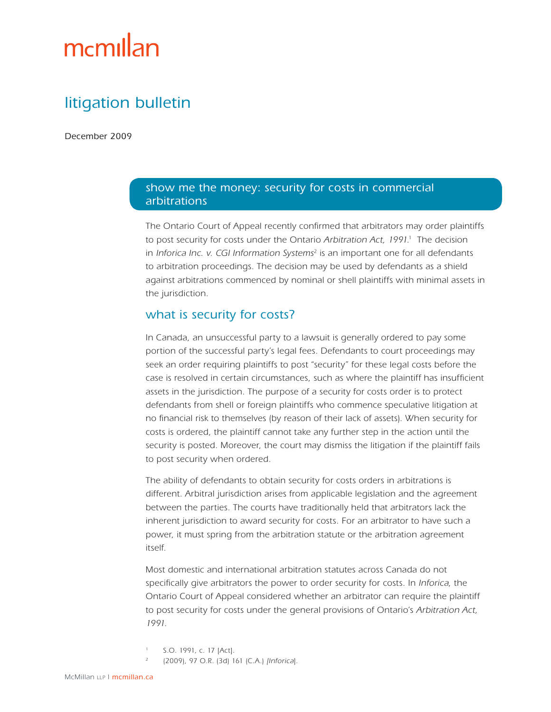# mcmillan

## litigation bulletin

December 2009

#### show me the money: security for costs in commercial arbitrations

The Ontario Court of Appeal recently confirmed that arbitrators may order plaintiffs to post security for costs under the Ontario Arbitration Act, 1991.<sup>1</sup> The decision in Inforica Inc. v. CGI Information Systems<sup>2</sup> is an important one for all defendants to arbitration proceedings. The decision may be used by defendants as a shield against arbitrations commenced by nominal or shell plaintiffs with minimal assets in the jurisdiction.

#### what is security for costs?

In Canada, an unsuccessful party to a lawsuit is generally ordered to pay some portion of the successful party's legal fees. Defendants to court proceedings may seek an order requiring plaintiffs to post "security" for these legal costs before the case is resolved in certain circumstances, such as where the plaintiff has insufficient assets in the jurisdiction. The purpose of a security for costs order is to protect defendants from shell or foreign plaintiffs who commence speculative litigation at no financial risk to themselves (by reason of their lack of assets). When security for costs is ordered, the plaintiff cannot take any further step in the action until the security is posted. Moreover, the court may dismiss the litigation if the plaintiff fails to post security when ordered.

The ability of defendants to obtain security for costs orders in arbitrations is different. Arbitral jurisdiction arises from applicable legislation and the agreement between the parties. The courts have traditionally held that arbitrators lack the inherent jurisdiction to award security for costs. For an arbitrator to have such a power, it must spring from the arbitration statute or the arbitration agreement itself.

Most domestic and international arbitration statutes across Canada do not specifically give arbitrators the power to order security for costs. In Inforica, the Ontario Court of Appeal considered whether an arbitrator can require the plaintiff to post security for costs under the general provisions of Ontario's Arbitration Act, <sup>1991</sup>.

- S.O. 1991, c. 17 [Act].
- <sup>2</sup> (2009), 97 O.R. (3d) 161 (C.A.) [Inforica].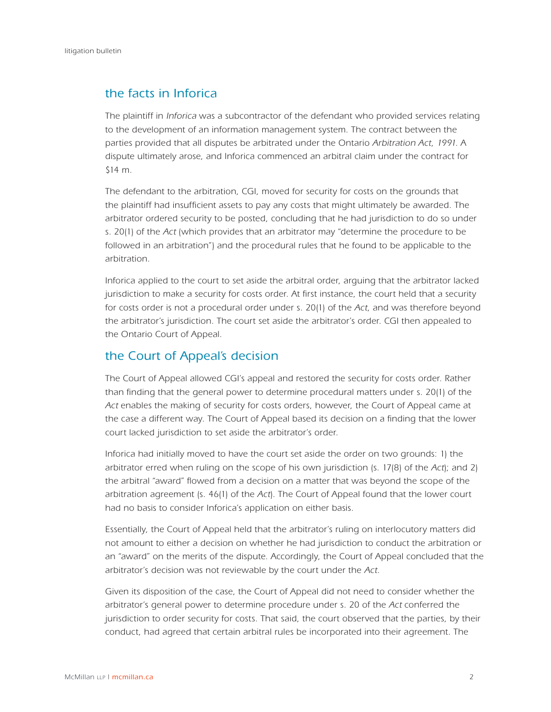## the facts in Inforica

The plaintiff in *Inforica* was a subcontractor of the defendant who provided services relating to the development of an information management system. The contract between the parties provided that all disputes be arbitrated under the Ontario Arbitration Act, 1991. A dispute ultimately arose, and Inforica commenced an arbitral claim under the contract for \$14 m.

The defendant to the arbitration, CGI, moved for security for costs on the grounds that the plaintiff had insufficient assets to pay any costs that might ultimately be awarded. The arbitrator ordered security to be posted, concluding that he had jurisdiction to do so under s. 20(1) of the Act (which provides that an arbitrator may "determine the procedure to be followed in an arbitration") and the procedural rules that he found to be applicable to the arbitration.

Inforica applied to the court to set aside the arbitral order, arguing that the arbitrator lacked jurisdiction to make a security for costs order. At first instance, the court held that a security for costs order is not a procedural order under s. 20(1) of the Act, and was therefore beyond the arbitrator's jurisdiction. The court set aside the arbitrator's order. CGI then appealed to the Ontario Court of Appeal.

### the Court of Appeal's decision

The Court of Appeal allowed CGI's appeal and restored the security for costs order. Rather than finding that the general power to determine procedural matters under s. 20(1) of the Act enables the making of security for costs orders, however, the Court of Appeal came at the case a different way. The Court of Appeal based its decision on a finding that the lower court lacked jurisdiction to set aside the arbitrator's order.

Inforica had initially moved to have the court set aside the order on two grounds: 1) the arbitrator erred when ruling on the scope of his own jurisdiction (s. 17(8) of the Act); and 2) the arbitral "award" flowed from a decision on a matter that was beyond the scope of the arbitration agreement (s. 46(1) of the Act). The Court of Appeal found that the lower court had no basis to consider Inforica's application on either basis.

Essentially, the Court of Appeal held that the arbitrator's ruling on interlocutory matters did not amount to either a decision on whether he had jurisdiction to conduct the arbitration or an "award" on the merits of the dispute. Accordingly, the Court of Appeal concluded that the arbitrator's decision was not reviewable by the court under the Act.

Given its disposition of the case, the Court of Appeal did not need to consider whether the arbitrator's general power to determine procedure under s. 20 of the Act conferred the jurisdiction to order security for costs. That said, the court observed that the parties, by their conduct, had agreed that certain arbitral rules be incorporated into their agreement. The